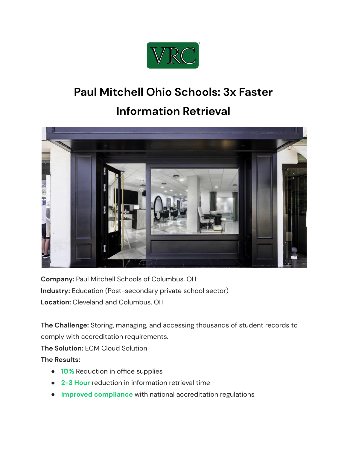

## **Paul Mitchell Ohio Schools: 3x Faster**

## **Information Retrieval**



**Company:** Paul Mitchell Schools of Columbus, OH **Industry:** Education (Post-secondary private school sector) **Location:** Cleveland and Columbus, OH

**The Challenge:** Storing, managing, and accessing thousands of student records to comply with accreditation requirements.

**The Solution:** ECM Cloud Solution

**The Results:**

- **10%** Reduction in office supplies
- **2-3 Hour** reduction in information retrieval time
- **Improved compliance** with national accreditation regulations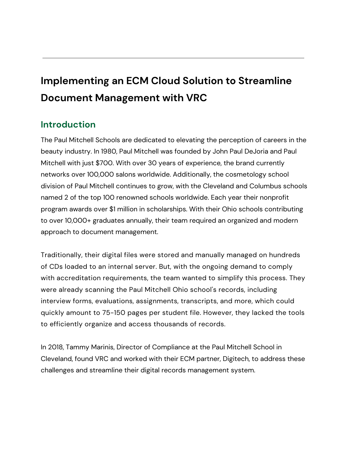# **Implementing an ECM Cloud Solution to Streamline Document Management with VRC**

### **Introduction**

The Paul Mitchell Schools are dedicated to elevating the perception of careers in the beauty industry. In 1980, Paul Mitchell was founded by John Paul DeJoria and Paul Mitchell with just \$700. With over 30 years of experience, the brand currently networks over 100,000 salons worldwide. Additionally, the cosmetology school division of Paul Mitchell continues to grow, with the Cleveland and Columbus schools named 2 of the top 100 renowned schools worldwide. Each year their nonprofit program awards over \$1 million in scholarships. With their Ohio schools contributing to over 10,000+ graduates annually, their team required an organized and modern approach to document management.

Traditionally, their digital files were stored and manually managed on hundreds of CDs loaded to an internal server. But, with the ongoing demand to comply with accreditation requirements, the team wanted to simplify this process. They were already scanning the Paul Mitchell Ohio school's records, including interview forms, evaluations, assignments, transcripts, and more, which could quickly amount to 75-150 pages per student file. However, they lacked the tools to efficiently organize and access thousands of records.

In 2018, Tammy Marinis, Director of Compliance at the Paul Mitchell School in Cleveland, found VRC and worked with their ECM partner, Digitech, to address these challenges and streamline their digital records management system.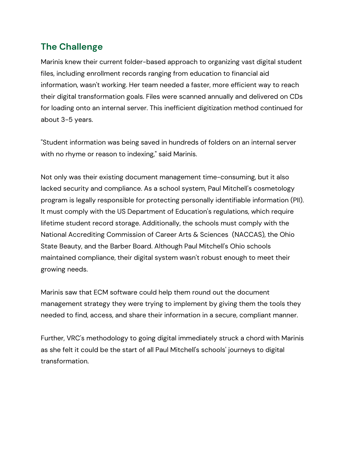## **The Challenge**

Marinis knew their current folder-based approach to organizing vast digital student files, including enrollment records ranging from education to financial aid information, wasn't working. Her team needed a faster, more efficient way to reach their digital transformation goals. Files were scanned annually and delivered on CDs for loading onto an internal server. This inefficient digitization method continued for about 3-5 years.

"Student information was being saved in hundreds of folders on an internal server with no rhyme or reason to indexing," said Marinis.

Not only was their existing document management time-consuming, but it also lacked security and compliance. As a school system, Paul Mitchell's cosmetology program is legally responsible for protecting personally identifiable information (PII). It must comply with the US Department of Education's regulations, which require lifetime student record storage. Additionally, the schools must comply with the National Accrediting Commission of Career Arts & Sciences (NACCAS), the Ohio State Beauty, and the Barber Board. Although Paul Mitchell's Ohio schools maintained compliance, their digital system wasn't robust enough to meet their growing needs.

Marinis saw that ECM software could help them round out the document management strategy they were trying to implement by giving them the tools they needed to find, access, and share their information in a secure, compliant manner.

Further, VRC's methodology to going digital immediately struck a chord with Marinis as she felt it could be the start of all Paul Mitchell's schools' journeys to digital transformation.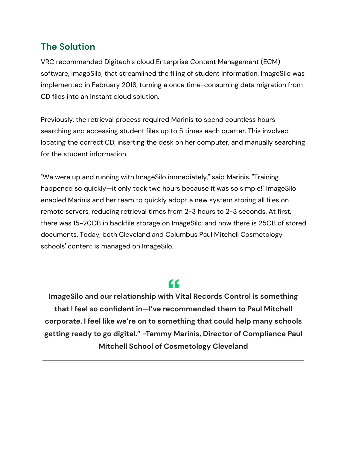#### **The Solution**

VRC recommended Digitech's cloud Enterprise Content Management (ECM) software, ImagoSilo, that streamlined the filing of student information. ImageSilo was implemented in February 2018, turning a once time-consuming data migration from CD files into an instant cloud solution.

Previously, the retrieval process required Marinis to spend countless hours searching and accessing student files up to 5 times each quarter. This involved locating the correct CD, inserting the desk on her computer, and manually searching for the student information.

"We were up and running with ImageSilo immediately," said Marinis. "Training happened so quickly—it only took two hours because it was so simple!" ImageSilo enabled Marinis and her team to quickly adopt a new system storing all files on remote servers, reducing retrieval times from 2-3 hours to 2-3 seconds. At first, there was 15-20GB in backfile storage on ImageSilo, and now there is 25GB of stored documents. Today, both Cleveland and Columbus Paul Mitchell Cosmetology schools' content is managed on ImageSilo.

## "

**ImageSilo and our relationship with Vital Records Control is something that I feel so confident in—I've recommended them to Paul Mitchell corporate. I feel like we're on to something that could help many schools getting ready to go digital." -Tammy Marinis, Director of Compliance Paul Mitchell School of Cosmetology Cleveland**